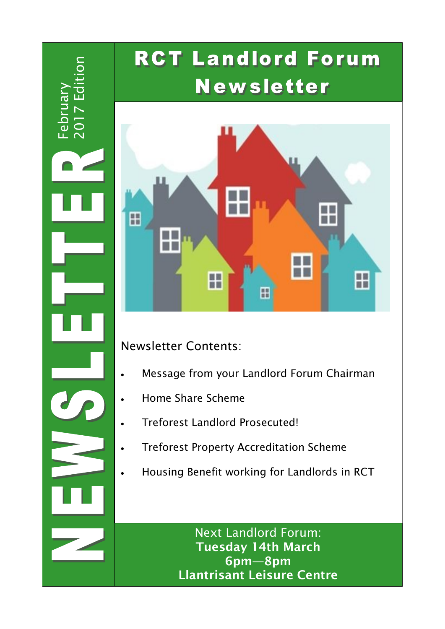2017 Editionit<br>H Februar

## **RCT Landlord Forum Newsletter**



Newsletter Contents:

- Message from your Landlord Forum Chairman
- Home Share Scheme
- Treforest Landlord Prosecuted!
- Treforest Property Accreditation Scheme
- Housing Benefit working for Landlords in RCT

Next Landlord Forum: **Tuesday 14th March 6pm—8pm Llantrisant Leisure Centre**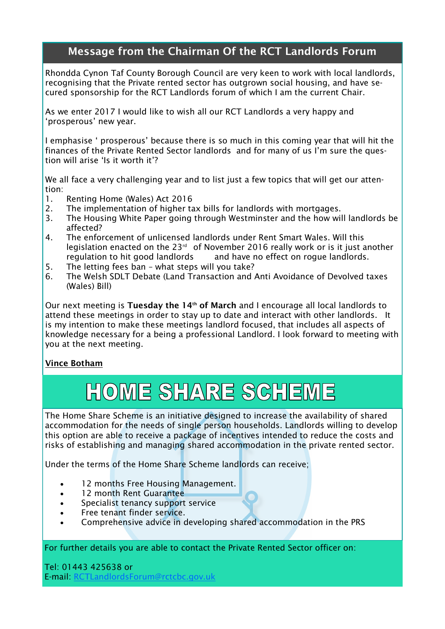### **Message from the Chairman Of the RCT Landlords Forum**

Rhondda Cynon Taf County Borough Council are very keen to work with local landlords, recognising that the Private rented sector has outgrown social housing, and have secured sponsorship for the RCT Landlords forum of which I am the current Chair.

As we enter 2017 I would like to wish all our RCT Landlords a very happy and 'prosperous' new year.

I emphasise ' prosperous' because there is so much in this coming year that will hit the finances of the Private Rented Sector landlords and for many of us I'm sure the question will arise 'Is it worth it'?

We all face a very challenging year and to list just a few topics that will get our attention:

- 1. Renting Home (Wales) Act 2016
- 2. The implementation of higher tax bills for landlords with mortgages.
- 3. The Housing White Paper going through Westminster and the how will landlords be affected?
- 4. The enforcement of unlicensed landlords under Rent Smart Wales. Will this legislation enacted on the 23<sup>rd</sup> of November 2016 really work or is it just another regulation to hit good landlords and have no effect on roque landlords.
- 5. The letting fees ban what steps will you take?
- 6. The Welsh SDLT Debate (Land Transaction and Anti Avoidance of Devolved taxes (Wales) Bill)

Our next meeting is **Tuesday the 14th of March** and I encourage all local landlords to attend these meetings in order to stay up to date and interact with other landlords. It is my intention to make these meetings landlord focused, that includes all aspects of knowledge necessary for a being a professional Landlord. I look forward to meeting with you at the next meeting.

### **Vince Botham**

## HOME SHARE SCHEME

The Home Share Scheme is an initiative designed to increase the availability of shared accommodation for the needs of single person households. Landlords willing to develop this option are able to receive a package of incentives intended to reduce the costs and risks of establishing and managing shared accommodation in the private rented sector.

Under the terms of the Home Share Scheme landlords can receive;

- 12 months Free Housing Management.
- 12 month Rent Guarantee
- Specialist tenancy support service
- Free tenant finder service.
- Comprehensive advice in developing shared accommodation in the PRS

For further details you are able to contact the Private Rented Sector officer on:

Tel: 01443 425638 or E-mail: [RCTLandlordsForum@rctcbc.gov.uk](mailto:RCTLandlordsForum@rctcbc.gov.uk)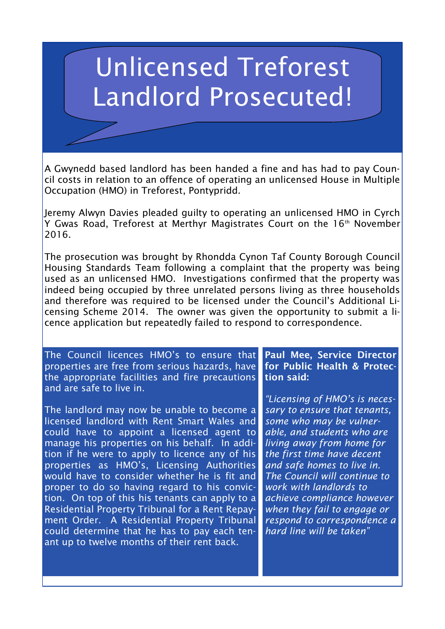# Unlicensed Treforest Landlord Prosecuted!

A Gwynedd based landlord has been handed a fine and has had to pay Council costs in relation to an offence of operating an unlicensed House in Multiple Occupation (HMO) in Treforest, Pontypridd.

Jeremy Alwyn Davies pleaded guilty to operating an unlicensed HMO in Cyrch Y Gwas Road, Treforest at Merthyr Magistrates Court on the 16<sup>th</sup> November 2016.

The prosecution was brought by Rhondda Cynon Taf County Borough Council Housing Standards Team following a complaint that the property was being used as an unlicensed HMO. Investigations confirmed that the property was indeed being occupied by three unrelated persons living as three households and therefore was required to be licensed under the Council's Additional Licensing Scheme 2014. The owner was given the opportunity to submit a licence application but repeatedly failed to respond to correspondence.

The Council licences HMO's to ensure that properties are free from serious hazards, have the appropriate facilities and fire precautions and are safe to live in.

The landlord may now be unable to become a licensed landlord with Rent Smart Wales and could have to appoint a licensed agent to manage his properties on his behalf. In addition if he were to apply to licence any of his properties as HMO's, Licensing Authorities would have to consider whether he is fit and proper to do so having regard to his conviction. On top of this his tenants can apply to a Residential Property Tribunal for a Rent Repayment Order. A Residential Property Tribunal could determine that he has to pay each tenant up to twelve months of their rent back.

**Paul Mee, Service Director for Public Health & Protection said:**

*"Licensing of HMO's is necessary to ensure that tenants, some who may be vulnerable, and students who are living away from home for the first time have decent and safe homes to live in. The Council will continue to work with landlords to achieve compliance however when they fail to engage or respond to correspondence a hard line will be taken"*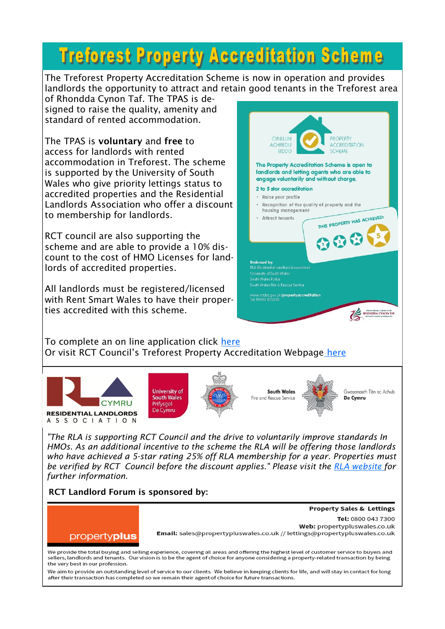## **Treforest Property Accreditation Scheme**

The Treforest Property Accreditation Scheme is now in operation and provides landlords the opportunity to attract and retain good tenants in the Treforest area

of Rhondda Cynon Taf. The TPAS is designed to raise the quality, amenity and standard of rented accommodation.

The TPAS is **voluntary** and **free** to access for landlords with rented accommodation in Treforest. The scheme is supported by the University of South Wales who give priority lettings status to accredited properties and the Residential Landlords Association who offer a discount to membership for landlords.

RCT council are also supporting the scheme and are able to provide a 10% discount to the cost of HMO Licenses for landlords of accredited properties.

All landlords must be registered/licensed with Rent Smart Wales to have their properties accredited with this scheme.



To complete an on line application click [here](https://www.snapsurveys.com/wh/s.asp?k=146980661856) Or visit RCT Council's Treforest Property Accreditation Webpage [here](http://www.rctcbc.gov.uk/EN/Business/LandlordGuidance/PropertyAccreditationScheme.aspx)







**South Wales** Fire and Rescue Service



Gwasanaeth Tân ac Achub De Cymru

**Property Sales & Lettings** 

*"The RLA is supporting RCT Council and the drive to voluntarily improve standards In HMOs. As an additional incentive to the scheme the RLA will be offering those landlords who have achieved a 5-star rating 25% off RLA membership for a year. Properties must be verified by RCT Council before the discount applies." Please visit the [RLA website f](http://www.rla.wales/policies-news/rct-going-for-standard-hmos/)or further information.*

**RCT Landlord Forum is sponsored by:**



Tel: 0800 043 7300 Web: propertypluswales.co.uk Email: sales@propertypluswales.co.uk // lettings@propertypluswales.co.uk

We provide the total buying and selling experience, covering all areas and offering the highest level of customer service to buyers and sellers, landlords and tenants. Our vision is to be the agent of choice for anyone considering a property-related transaction by being the very best in our profession.

We aim to provide an outstanding level of service to our clients. We believe in keeping clients for life, and will stay in contact for long after their transaction has completed so we remain their agent of choice for future transactions.